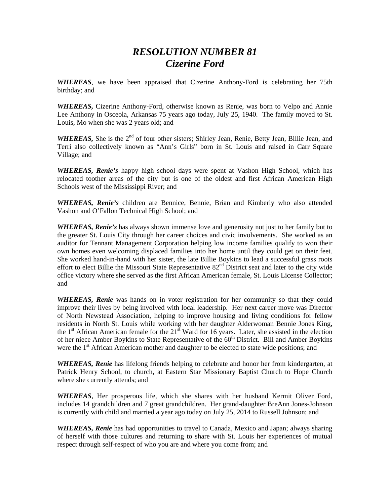## *RESOLUTION NUMBER 81 Cizerine Ford*

*WHEREAS*, we have been appraised that Cizerine Anthony-Ford is celebrating her 75th birthday; and

*WHEREAS,* Cizerine Anthony-Ford, otherwise known as Renie, was born to Velpo and Annie Lee Anthony in Osceola, Arkansas 75 years ago today, July 25, 1940. The family moved to St. Louis, Mo when she was 2 years old; and

*WHEREAS*, She is the 2<sup>nd</sup> of four other sisters; Shirley Jean, Renie, Betty Jean, Billie Jean, and Terri also collectively known as "Ann's Girls" born in St. Louis and raised in Carr Square Village; and

*WHEREAS, Renie's* happy high school days were spent at Vashon High School, which has relocated toother areas of the city but is one of the oldest and first African American High Schools west of the Mississippi River; and

*WHEREAS, Renie's* children are Bennice, Bennie, Brian and Kimberly who also attended Vashon and O'Fallon Technical High School; and

*WHEREAS, Renie's* has always shown immense love and generosity not just to her family but to the greater St. Louis City through her career choices and civic involvements. She worked as an auditor for Tennant Management Corporation helping low income families qualify to won their own homes even welcoming displaced families into her home until they could get on their feet. She worked hand-in-hand with her sister, the late Billie Boykins to lead a successful grass roots effort to elect Billie the Missouri State Representative  $82<sup>nd</sup>$  District seat and later to the city wide office victory where she served as the first African American female, St. Louis License Collector; and

*WHEREAS, Renie* was hands on in voter registration for her community so that they could improve their lives by being involved with local leadership. Her next career move was Director of North Newstead Association, helping to improve housing and living conditions for fellow residents in North St. Louis while working with her daughter Alderwoman Bennie Jones King, the  $1<sup>st</sup>$  African American female for the  $21<sup>st</sup>$  Ward for 16 years. Later, she assisted in the election of her niece Amber Boykins to State Representative of the 60<sup>th</sup> District. Bill and Amber Boykins were the  $1<sup>st</sup>$  African American mother and daughter to be elected to state wide positions; and

*WHEREAS, Renie* has lifelong friends helping to celebrate and honor her from kindergarten, at Patrick Henry School, to church, at Eastern Star Missionary Baptist Church to Hope Church where she currently attends; and

*WHEREAS*, Her prosperous life, which she shares with her husband Kermit Oliver Ford, includes 14 grandchildren and 7 great grandchildren. Her grand-daughter BreAnn Jones-Johnson is currently with child and married a year ago today on July 25, 2014 to Russell Johnson; and

*WHEREAS, Renie* has had opportunities to travel to Canada, Mexico and Japan; always sharing of herself with those cultures and returning to share with St. Louis her experiences of mutual respect through self-respect of who you are and where you come from; and